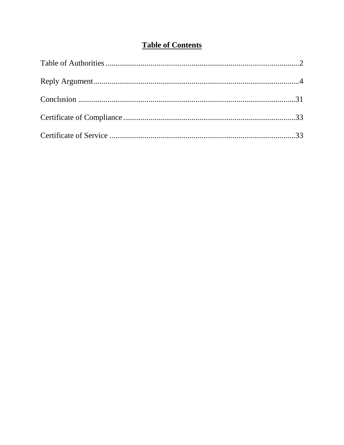## **Table of Contents**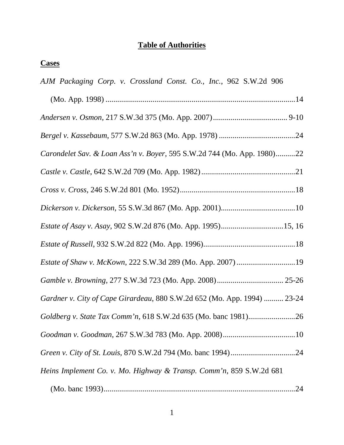## **Table of Authorities**

## **Cases**

| AJM Packaging Corp. v. Crossland Const. Co., Inc., 962 S.W.2d 906        |
|--------------------------------------------------------------------------|
|                                                                          |
|                                                                          |
|                                                                          |
| Carondelet Sav. & Loan Ass'n v. Boyer, 595 S.W.2d 744 (Mo. App. 1980)22  |
|                                                                          |
|                                                                          |
|                                                                          |
| Estate of Asay v. Asay, 902 S.W.2d 876 (Mo. App. 1995)15, 16             |
|                                                                          |
|                                                                          |
|                                                                          |
| Gardner v. City of Cape Girardeau, 880 S.W.2d 652 (Mo. App. 1994)  23-24 |
|                                                                          |
|                                                                          |
|                                                                          |
| Heins Implement Co. v. Mo. Highway & Transp. Comm'n, 859 S.W.2d 681      |
|                                                                          |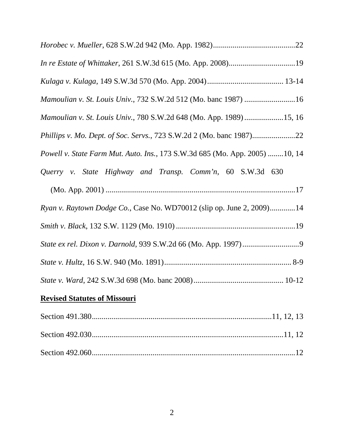| In re Estate of Whittaker, 261 S.W.3d 615 (Mo. App. 2008)19                   |
|-------------------------------------------------------------------------------|
|                                                                               |
| Mamoulian v. St. Louis Univ., 732 S.W.2d 512 (Mo. banc 1987) 16               |
| Mamoulian v. St. Louis Univ., 780 S.W.2d 648 (Mo. App. 1989) 15, 16           |
| Phillips v. Mo. Dept. of Soc. Servs., 723 S.W.2d 2 (Mo. banc 1987)22          |
| Powell v. State Farm Mut. Auto. Ins., 173 S.W.3d 685 (Mo. App. 2005) 10, 14   |
| Querry v. State Highway and Transp. Comm'n, 60 S.W.3d 630                     |
|                                                                               |
|                                                                               |
| <i>Ryan v. Raytown Dodge Co.</i> , Case No. WD70012 (slip op. June 2, 2009)14 |
|                                                                               |
|                                                                               |
|                                                                               |
|                                                                               |
| <b>Revised Statutes of Missouri</b>                                           |

Section 492.030..................................................................................................11, 12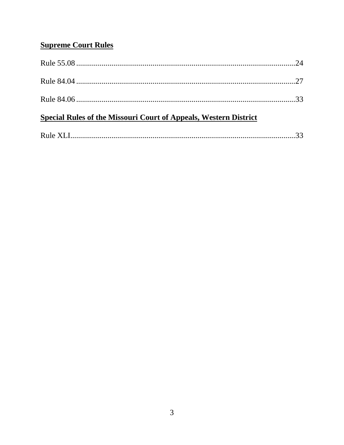## **Supreme Court Rules**

| <b>Special Rules of the Missouri Court of Appeals, Western District</b> |  |
|-------------------------------------------------------------------------|--|
|                                                                         |  |
|                                                                         |  |
|                                                                         |  |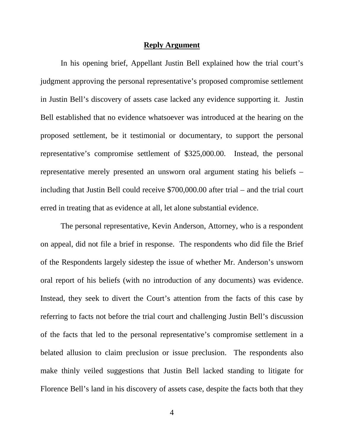#### **Reply Argument**

In his opening brief, Appellant Justin Bell explained how the trial court's judgment approving the personal representative's proposed compromise settlement in Justin Bell's discovery of assets case lacked any evidence supporting it. Justin Bell established that no evidence whatsoever was introduced at the hearing on the proposed settlement, be it testimonial or documentary, to support the personal representative's compromise settlement of \$325,000.00. Instead, the personal representative merely presented an unsworn oral argument stating his beliefs – including that Justin Bell could receive \$700,000.00 after trial – and the trial court erred in treating that as evidence at all, let alone substantial evidence.

The personal representative, Kevin Anderson, Attorney, who is a respondent on appeal, did not file a brief in response. The respondents who did file the Brief of the Respondents largely sidestep the issue of whether Mr. Anderson's unsworn oral report of his beliefs (with no introduction of any documents) was evidence. Instead, they seek to divert the Court's attention from the facts of this case by referring to facts not before the trial court and challenging Justin Bell's discussion of the facts that led to the personal representative's compromise settlement in a belated allusion to claim preclusion or issue preclusion. The respondents also make thinly veiled suggestions that Justin Bell lacked standing to litigate for Florence Bell's land in his discovery of assets case, despite the facts both that they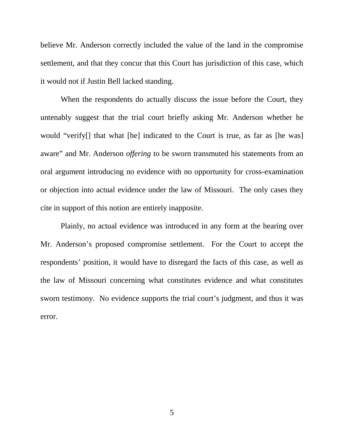believe Mr. Anderson correctly included the value of the land in the compromise settlement, and that they concur that this Court has jurisdiction of this case, which it would not if Justin Bell lacked standing.

When the respondents do actually discuss the issue before the Court, they untenably suggest that the trial court briefly asking Mr. Anderson whether he would "verify[] that what [he] indicated to the Court is true, as far as [he was] aware" and Mr. Anderson *offering* to be sworn transmuted his statements from an oral argument introducing no evidence with no opportunity for cross-examination or objection into actual evidence under the law of Missouri. The only cases they cite in support of this notion are entirely inapposite.

Plainly, no actual evidence was introduced in any form at the hearing over Mr. Anderson's proposed compromise settlement. For the Court to accept the respondents' position, it would have to disregard the facts of this case, as well as the law of Missouri concerning what constitutes evidence and what constitutes sworn testimony. No evidence supports the trial court's judgment, and thus it was error.

5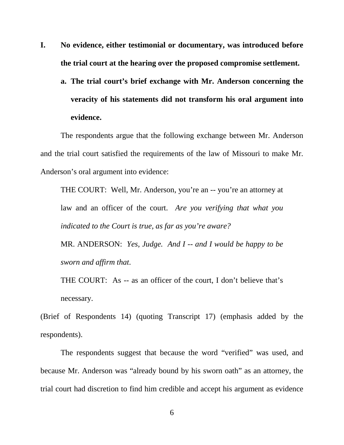- **I. No evidence, either testimonial or documentary, was introduced before the trial court at the hearing over the proposed compromise settlement.**
	- **a. The trial court's brief exchange with Mr. Anderson concerning the veracity of his statements did not transform his oral argument into evidence.**

The respondents argue that the following exchange between Mr. Anderson and the trial court satisfied the requirements of the law of Missouri to make Mr. Anderson's oral argument into evidence:

THE COURT: Well, Mr. Anderson, you're an -- you're an attorney at law and an officer of the court. *Are you verifying that what you indicated to the Court is true, as far as you're aware?*

MR. ANDERSON: *Yes, Judge. And I -- and I would be happy to be sworn and affirm that*.

THE COURT: As -- as an officer of the court, I don't believe that's necessary.

(Brief of Respondents 14) (quoting Transcript 17) (emphasis added by the respondents).

The respondents suggest that because the word "verified" was used, and because Mr. Anderson was "already bound by his sworn oath" as an attorney, the trial court had discretion to find him credible and accept his argument as evidence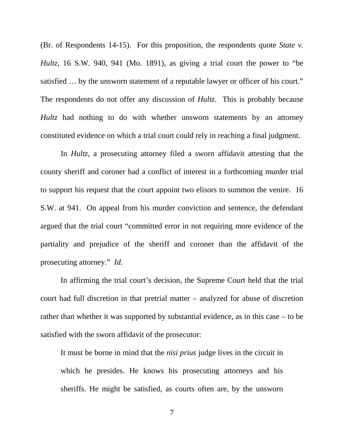(Br. of Respondents 14-15). For this proposition, the respondents quote *State v. Hultz*, 16 S.W. 940, 941 (Mo. 1891), as giving a trial court the power to "be satisfied … by the unsworn statement of a reputable lawyer or officer of his court." The respondents do not offer any discussion of *Hultz*. This is probably because *Hultz* had nothing to do with whether unsworn statements by an attorney constituted evidence on which a trial court could rely in reaching a final judgment.

In *Hultz*, a prosecuting attorney filed a sworn affidavit attesting that the county sheriff and coroner had a conflict of interest in a forthcoming murder trial to support his request that the court appoint two elisors to summon the venire. 16 S.W. at 941. On appeal from his murder conviction and sentence, the defendant argued that the trial court "committed error in not requiring more evidence of the partiality and prejudice of the sheriff and coroner than the affidavit of the prosecuting attorney." *Id.*

In affirming the trial court's decision, the Supreme Court held that the trial court had full discretion in that pretrial matter – analyzed for abuse of discretion rather than whether it was supported by substantial evidence, as in this case – to be satisfied with the sworn affidavit of the prosecutor:

It must be borne in mind that the *nisi prius* judge lives in the circuit in which he presides. He knows his prosecuting attorneys and his sheriffs. He might be satisfied, as courts often are, by the unsworn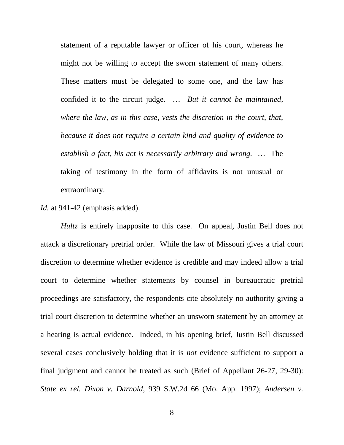statement of a reputable lawyer or officer of his court, whereas he might not be willing to accept the sworn statement of many others. These matters must be delegated to some one, and the law has confided it to the circuit judge. … *But it cannot be maintained, where the law, as in this case, vests the discretion in the court, that, because it does not require a certain kind and quality of evidence to establish a fact, his act is necessarily arbitrary and wrong.* … The taking of testimony in the form of affidavits is not unusual or extraordinary.

*Id.* at 941-42 (emphasis added).

*Hultz* is entirely inapposite to this case. On appeal, Justin Bell does not attack a discretionary pretrial order. While the law of Missouri gives a trial court discretion to determine whether evidence is credible and may indeed allow a trial court to determine whether statements by counsel in bureaucratic pretrial proceedings are satisfactory, the respondents cite absolutely no authority giving a trial court discretion to determine whether an unsworn statement by an attorney at a hearing is actual evidence. Indeed, in his opening brief, Justin Bell discussed several cases conclusively holding that it is *not* evidence sufficient to support a final judgment and cannot be treated as such (Brief of Appellant 26-27, 29-30): *State ex rel. Dixon v. Darnold*, 939 S.W.2d 66 (Mo. App. 1997); *Andersen v.*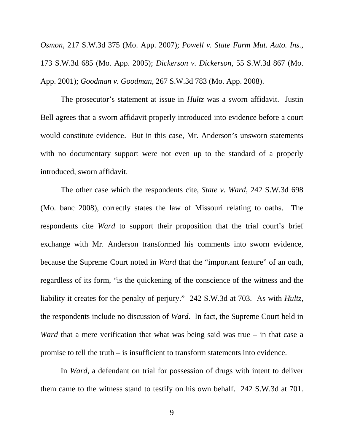*Osmon*, 217 S.W.3d 375 (Mo. App. 2007); *Powell v. State Farm Mut. Auto. Ins.*, 173 S.W.3d 685 (Mo. App. 2005); *Dickerson v. Dickerson*, 55 S.W.3d 867 (Mo. App. 2001); *Goodman v. Goodman*, 267 S.W.3d 783 (Mo. App. 2008).

The prosecutor's statement at issue in *Hultz* was a sworn affidavit. Justin Bell agrees that a sworn affidavit properly introduced into evidence before a court would constitute evidence. But in this case, Mr. Anderson's unsworn statements with no documentary support were not even up to the standard of a properly introduced, sworn affidavit.

The other case which the respondents cite, *State v. Ward*, 242 S.W.3d 698 (Mo. banc 2008), correctly states the law of Missouri relating to oaths. The respondents cite *Ward* to support their proposition that the trial court's brief exchange with Mr. Anderson transformed his comments into sworn evidence, because the Supreme Court noted in *Ward* that the "important feature" of an oath, regardless of its form, "is the quickening of the conscience of the witness and the liability it creates for the penalty of perjury." 242 S.W.3d at 703. As with *Hultz*, the respondents include no discussion of *Ward*. In fact, the Supreme Court held in *Ward* that a mere verification that what was being said was true – in that case a promise to tell the truth – is insufficient to transform statements into evidence.

In *Ward*, a defendant on trial for possession of drugs with intent to deliver them came to the witness stand to testify on his own behalf. 242 S.W.3d at 701.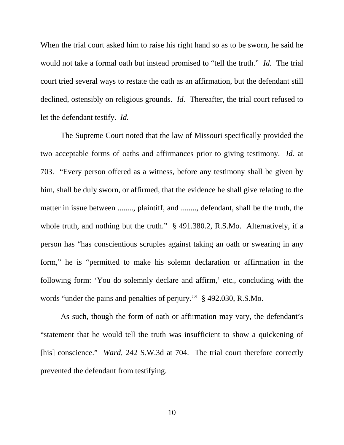When the trial court asked him to raise his right hand so as to be sworn, he said he would not take a formal oath but instead promised to "tell the truth." *Id.* The trial court tried several ways to restate the oath as an affirmation, but the defendant still declined, ostensibly on religious grounds. *Id.* Thereafter, the trial court refused to let the defendant testify. *Id.*

The Supreme Court noted that the law of Missouri specifically provided the two acceptable forms of oaths and affirmances prior to giving testimony. *Id.* at 703. "Every person offered as a witness, before any testimony shall be given by him, shall be duly sworn, or affirmed, that the evidence he shall give relating to the matter in issue between ........, plaintiff, and ........, defendant, shall be the truth, the whole truth, and nothing but the truth." § 491.380.2, R.S.Mo. Alternatively, if a person has "has conscientious scruples against taking an oath or swearing in any form," he is "permitted to make his solemn declaration or affirmation in the following form: 'You do solemnly declare and affirm,' etc., concluding with the words "under the pains and penalties of perjury.'" § 492.030, R.S.Mo.

As such, though the form of oath or affirmation may vary, the defendant's "statement that he would tell the truth was insufficient to show a quickening of [his] conscience." *Ward*, 242 S.W.3d at 704. The trial court therefore correctly prevented the defendant from testifying.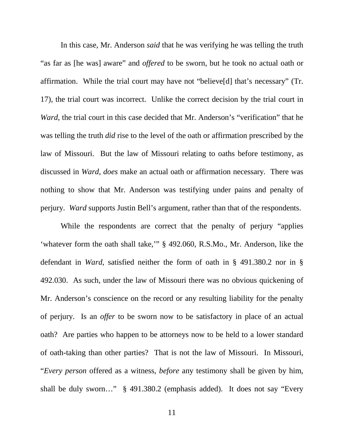In this case, Mr. Anderson *said* that he was verifying he was telling the truth "as far as [he was] aware" and *offered* to be sworn, but he took no actual oath or affirmation. While the trial court may have not "believe[d] that's necessary" (Tr. 17), the trial court was incorrect. Unlike the correct decision by the trial court in *Ward*, the trial court in this case decided that Mr. Anderson's "verification" that he was telling the truth *did* rise to the level of the oath or affirmation prescribed by the law of Missouri. But the law of Missouri relating to oaths before testimony, as discussed in *Ward*, *does* make an actual oath or affirmation necessary. There was nothing to show that Mr. Anderson was testifying under pains and penalty of perjury. *Ward* supports Justin Bell's argument, rather than that of the respondents.

While the respondents are correct that the penalty of perjury "applies 'whatever form the oath shall take,'" § 492.060, R.S.Mo., Mr. Anderson, like the defendant in *Ward*, satisfied neither the form of oath in § 491.380.2 nor in § 492.030. As such, under the law of Missouri there was no obvious quickening of Mr. Anderson's conscience on the record or any resulting liability for the penalty of perjury. Is an *offer* to be sworn now to be satisfactory in place of an actual oath? Are parties who happen to be attorneys now to be held to a lower standard of oath-taking than other parties? That is not the law of Missouri. In Missouri, "*Every person* offered as a witness, *before* any testimony shall be given by him, shall be duly sworn…" § 491.380.2 (emphasis added). It does not say "Every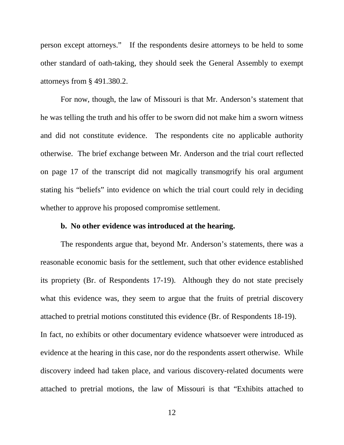person except attorneys." If the respondents desire attorneys to be held to some other standard of oath-taking, they should seek the General Assembly to exempt attorneys from § 491.380.2.

For now, though, the law of Missouri is that Mr. Anderson's statement that he was telling the truth and his offer to be sworn did not make him a sworn witness and did not constitute evidence. The respondents cite no applicable authority otherwise. The brief exchange between Mr. Anderson and the trial court reflected on page 17 of the transcript did not magically transmogrify his oral argument stating his "beliefs" into evidence on which the trial court could rely in deciding whether to approve his proposed compromise settlement.

#### **b. No other evidence was introduced at the hearing.**

The respondents argue that, beyond Mr. Anderson's statements, there was a reasonable economic basis for the settlement, such that other evidence established its propriety (Br. of Respondents 17-19). Although they do not state precisely what this evidence was, they seem to argue that the fruits of pretrial discovery attached to pretrial motions constituted this evidence (Br. of Respondents 18-19). In fact, no exhibits or other documentary evidence whatsoever were introduced as evidence at the hearing in this case, nor do the respondents assert otherwise. While discovery indeed had taken place, and various discovery-related documents were attached to pretrial motions, the law of Missouri is that "Exhibits attached to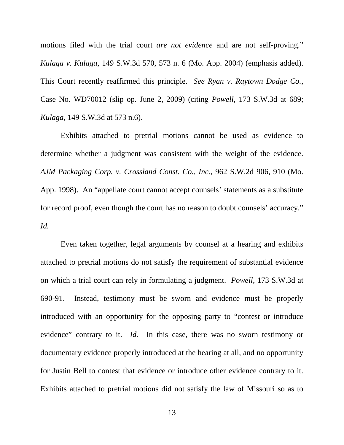motions filed with the trial court *are not evidence* and are not self-proving." *Kulaga v. Kulaga*, 149 S.W.3d 570, 573 n. 6 (Mo. App. 2004) (emphasis added). This Court recently reaffirmed this principle. *See Ryan v. Raytown Dodge Co.*, Case No. WD70012 (slip op. June 2, 2009) (citing *Powell*, 173 S.W.3d at 689; *Kulaga*, 149 S.W.3d at 573 n.6).

Exhibits attached to pretrial motions cannot be used as evidence to determine whether a judgment was consistent with the weight of the evidence. *AJM Packaging Corp. v. Crossland Const. Co., Inc.*, 962 S.W.2d 906, 910 (Mo. App. 1998). An "appellate court cannot accept counsels' statements as a substitute for record proof, even though the court has no reason to doubt counsels' accuracy." *Id.*

Even taken together, legal arguments by counsel at a hearing and exhibits attached to pretrial motions do not satisfy the requirement of substantial evidence on which a trial court can rely in formulating a judgment. *Powell*, 173 S.W.3d at 690-91. Instead, testimony must be sworn and evidence must be properly introduced with an opportunity for the opposing party to "contest or introduce evidence" contrary to it. *Id.* In this case, there was no sworn testimony or documentary evidence properly introduced at the hearing at all, and no opportunity for Justin Bell to contest that evidence or introduce other evidence contrary to it. Exhibits attached to pretrial motions did not satisfy the law of Missouri so as to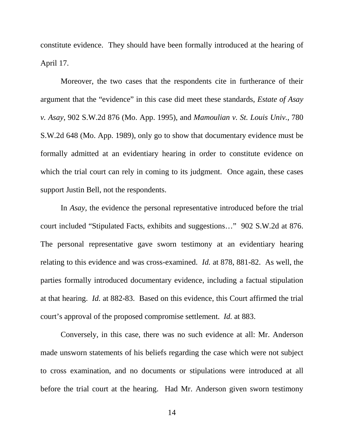constitute evidence. They should have been formally introduced at the hearing of April 17.

Moreover, the two cases that the respondents cite in furtherance of their argument that the "evidence" in this case did meet these standards, *Estate of Asay v. Asay*, 902 S.W.2d 876 (Mo. App. 1995), and *Mamoulian v. St. Louis Univ.*, 780 S.W.2d 648 (Mo. App. 1989), only go to show that documentary evidence must be formally admitted at an evidentiary hearing in order to constitute evidence on which the trial court can rely in coming to its judgment. Once again, these cases support Justin Bell, not the respondents.

In *Asay*, the evidence the personal representative introduced before the trial court included "Stipulated Facts, exhibits and suggestions…" 902 S.W.2d at 876. The personal representative gave sworn testimony at an evidentiary hearing relating to this evidence and was cross-examined. *Id.* at 878, 881-82. As well, the parties formally introduced documentary evidence, including a factual stipulation at that hearing. *Id.* at 882-83. Based on this evidence, this Court affirmed the trial court's approval of the proposed compromise settlement. *Id.* at 883.

Conversely, in this case, there was no such evidence at all: Mr. Anderson made unsworn statements of his beliefs regarding the case which were not subject to cross examination, and no documents or stipulations were introduced at all before the trial court at the hearing. Had Mr. Anderson given sworn testimony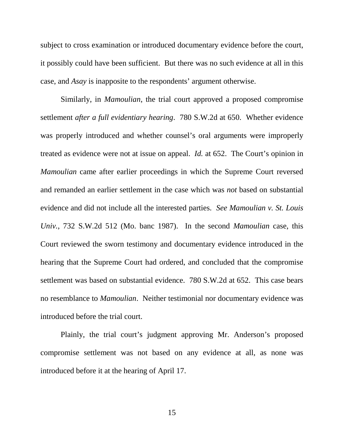subject to cross examination or introduced documentary evidence before the court, it possibly could have been sufficient. But there was no such evidence at all in this case, and *Asay* is inapposite to the respondents' argument otherwise.

Similarly, in *Mamoulian*, the trial court approved a proposed compromise settlement *after a full evidentiary hearing*. 780 S.W.2d at 650. Whether evidence was properly introduced and whether counsel's oral arguments were improperly treated as evidence were not at issue on appeal. *Id.* at 652. The Court's opinion in *Mamoulian* came after earlier proceedings in which the Supreme Court reversed and remanded an earlier settlement in the case which was *not* based on substantial evidence and did not include all the interested parties. *See Mamoulian v. St. Louis Univ.*, 732 S.W.2d 512 (Mo. banc 1987). In the second *Mamoulian* case, this Court reviewed the sworn testimony and documentary evidence introduced in the hearing that the Supreme Court had ordered, and concluded that the compromise settlement was based on substantial evidence. 780 S.W.2d at 652. This case bears no resemblance to *Mamoulian*. Neither testimonial nor documentary evidence was introduced before the trial court.

Plainly, the trial court's judgment approving Mr. Anderson's proposed compromise settlement was not based on any evidence at all, as none was introduced before it at the hearing of April 17.

15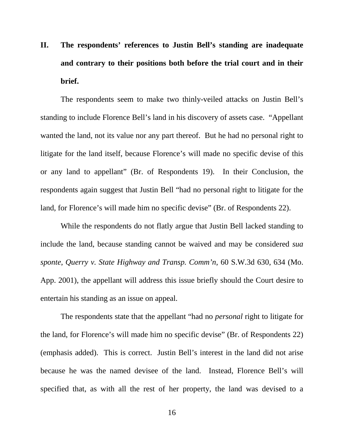# **II. The respondents' references to Justin Bell's standing are inadequate and contrary to their positions both before the trial court and in their brief.**

The respondents seem to make two thinly-veiled attacks on Justin Bell's standing to include Florence Bell's land in his discovery of assets case. "Appellant wanted the land, not its value nor any part thereof. But he had no personal right to litigate for the land itself, because Florence's will made no specific devise of this or any land to appellant" (Br. of Respondents 19). In their Conclusion, the respondents again suggest that Justin Bell "had no personal right to litigate for the land, for Florence's will made him no specific devise" (Br. of Respondents 22).

While the respondents do not flatly argue that Justin Bell lacked standing to include the land, because standing cannot be waived and may be considered *sua sponte*, *Querry v. State Highway and Transp. Comm'n*, 60 S.W.3d 630, 634 (Mo. App. 2001), the appellant will address this issue briefly should the Court desire to entertain his standing as an issue on appeal.

The respondents state that the appellant "had no *personal* right to litigate for the land, for Florence's will made him no specific devise" (Br. of Respondents 22) (emphasis added). This is correct. Justin Bell's interest in the land did not arise because he was the named devisee of the land. Instead, Florence Bell's will specified that, as with all the rest of her property, the land was devised to a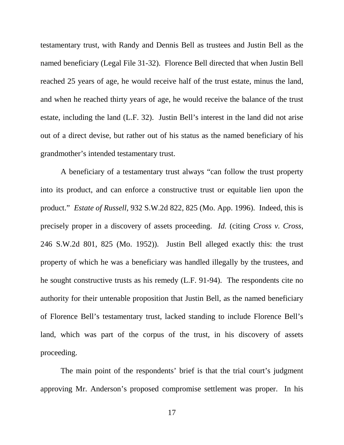testamentary trust, with Randy and Dennis Bell as trustees and Justin Bell as the named beneficiary (Legal File 31-32). Florence Bell directed that when Justin Bell reached 25 years of age, he would receive half of the trust estate, minus the land, and when he reached thirty years of age, he would receive the balance of the trust estate, including the land (L.F. 32). Justin Bell's interest in the land did not arise out of a direct devise, but rather out of his status as the named beneficiary of his grandmother's intended testamentary trust.

A beneficiary of a testamentary trust always "can follow the trust property into its product, and can enforce a constructive trust or equitable lien upon the product." *Estate of Russell*, 932 S.W.2d 822, 825 (Mo. App. 1996). Indeed, this is precisely proper in a discovery of assets proceeding. *Id.* (citing *Cross v. Cross*, 246 S.W.2d 801, 825 (Mo. 1952)). Justin Bell alleged exactly this: the trust property of which he was a beneficiary was handled illegally by the trustees, and he sought constructive trusts as his remedy (L.F. 91-94). The respondents cite no authority for their untenable proposition that Justin Bell, as the named beneficiary of Florence Bell's testamentary trust, lacked standing to include Florence Bell's land, which was part of the corpus of the trust, in his discovery of assets proceeding.

The main point of the respondents' brief is that the trial court's judgment approving Mr. Anderson's proposed compromise settlement was proper. In his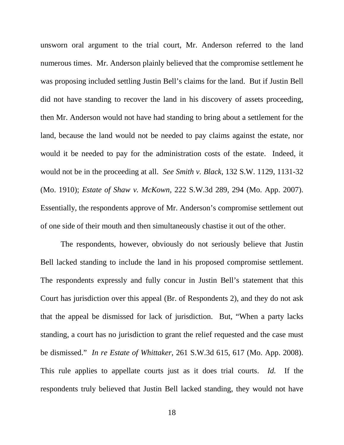unsworn oral argument to the trial court, Mr. Anderson referred to the land numerous times. Mr. Anderson plainly believed that the compromise settlement he was proposing included settling Justin Bell's claims for the land. But if Justin Bell did not have standing to recover the land in his discovery of assets proceeding, then Mr. Anderson would not have had standing to bring about a settlement for the land, because the land would not be needed to pay claims against the estate, nor would it be needed to pay for the administration costs of the estate. Indeed, it would not be in the proceeding at all. *See Smith v. Black*, 132 S.W. 1129, 1131-32 (Mo. 1910); *Estate of Shaw v. McKown*, 222 S.W.3d 289, 294 (Mo. App. 2007). Essentially, the respondents approve of Mr. Anderson's compromise settlement out of one side of their mouth and then simultaneously chastise it out of the other.

The respondents, however, obviously do not seriously believe that Justin Bell lacked standing to include the land in his proposed compromise settlement. The respondents expressly and fully concur in Justin Bell's statement that this Court has jurisdiction over this appeal (Br. of Respondents 2), and they do not ask that the appeal be dismissed for lack of jurisdiction. But, "When a party lacks standing, a court has no jurisdiction to grant the relief requested and the case must be dismissed." *In re Estate of Whittaker*, 261 S.W.3d 615, 617 (Mo. App. 2008). This rule applies to appellate courts just as it does trial courts. *Id.* If the respondents truly believed that Justin Bell lacked standing, they would not have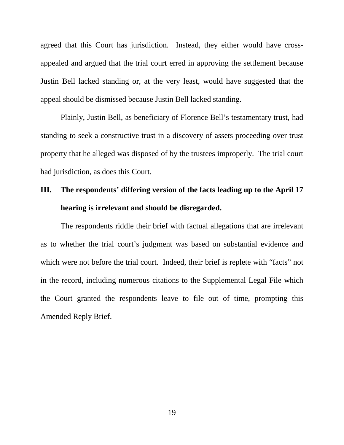agreed that this Court has jurisdiction. Instead, they either would have crossappealed and argued that the trial court erred in approving the settlement because Justin Bell lacked standing or, at the very least, would have suggested that the appeal should be dismissed because Justin Bell lacked standing.

Plainly, Justin Bell, as beneficiary of Florence Bell's testamentary trust, had standing to seek a constructive trust in a discovery of assets proceeding over trust property that he alleged was disposed of by the trustees improperly. The trial court had jurisdiction, as does this Court.

## **III. The respondents' differing version of the facts leading up to the April 17 hearing is irrelevant and should be disregarded.**

The respondents riddle their brief with factual allegations that are irrelevant as to whether the trial court's judgment was based on substantial evidence and which were not before the trial court. Indeed, their brief is replete with "facts" not in the record, including numerous citations to the Supplemental Legal File which the Court granted the respondents leave to file out of time, prompting this Amended Reply Brief.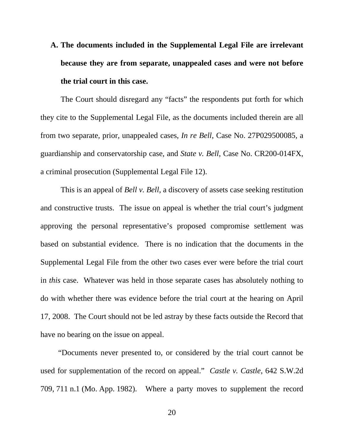**A. The documents included in the Supplemental Legal File are irrelevant because they are from separate, unappealed cases and were not before the trial court in this case.**

The Court should disregard any "facts" the respondents put forth for which they cite to the Supplemental Legal File, as the documents included therein are all from two separate, prior, unappealed cases, *In re Bell*, Case No. 27P029500085, a guardianship and conservatorship case, and *State v. Bell*, Case No. CR200-014FX, a criminal prosecution (Supplemental Legal File 12).

This is an appeal of *Bell v. Bell*, a discovery of assets case seeking restitution and constructive trusts. The issue on appeal is whether the trial court's judgment approving the personal representative's proposed compromise settlement was based on substantial evidence. There is no indication that the documents in the Supplemental Legal File from the other two cases ever were before the trial court in *this* case. Whatever was held in those separate cases has absolutely nothing to do with whether there was evidence before the trial court at the hearing on April 17, 2008. The Court should not be led astray by these facts outside the Record that have no bearing on the issue on appeal.

"Documents never presented to, or considered by the trial court cannot be used for supplementation of the record on appeal." *Castle v. Castle*, 642 S.W.2d 709, 711 n.1 (Mo. App. 1982). Where a party moves to supplement the record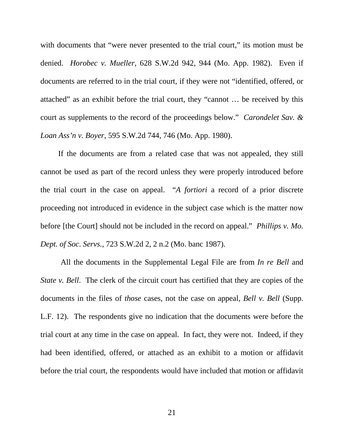with documents that "were never presented to the trial court," its motion must be denied. *Horobec v. Mueller*, 628 S.W.2d 942, 944 (Mo. App. 1982). Even if documents are referred to in the trial court, if they were not "identified, offered, or attached" as an exhibit before the trial court, they "cannot … be received by this court as supplements to the record of the proceedings below." *Carondelet Sav. & Loan Ass'n v. Boyer*, 595 S.W.2d 744, 746 (Mo. App. 1980).

If the documents are from a related case that was not appealed, they still cannot be used as part of the record unless they were properly introduced before the trial court in the case on appeal. "*A fortiori* a record of a prior discrete proceeding not introduced in evidence in the subject case which is the matter now before [the Court] should not be included in the record on appeal." *Phillips v. Mo. Dept. of Soc. Servs.*, 723 S.W.2d 2, 2 n.2 (Mo. banc 1987).

All the documents in the Supplemental Legal File are from *In re Bell* and *State v. Bell.* The clerk of the circuit court has certified that they are copies of the documents in the files of *those* cases, not the case on appeal, *Bell v. Bell* (Supp. L.F. 12). The respondents give no indication that the documents were before the trial court at any time in the case on appeal. In fact, they were not. Indeed, if they had been identified, offered, or attached as an exhibit to a motion or affidavit before the trial court, the respondents would have included that motion or affidavit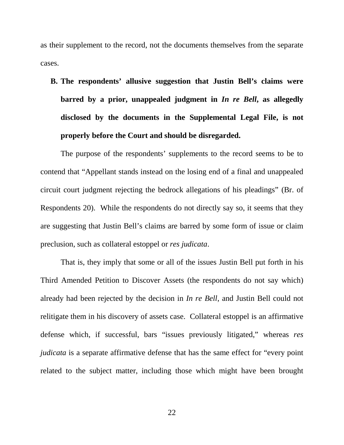as their supplement to the record, not the documents themselves from the separate cases.

**B. The respondents' allusive suggestion that Justin Bell's claims were barred by a prior, unappealed judgment in** *In re Bell***, as allegedly disclosed by the documents in the Supplemental Legal File, is not properly before the Court and should be disregarded.**

The purpose of the respondents' supplements to the record seems to be to contend that "Appellant stands instead on the losing end of a final and unappealed circuit court judgment rejecting the bedrock allegations of his pleadings" (Br. of Respondents 20). While the respondents do not directly say so, it seems that they are suggesting that Justin Bell's claims are barred by some form of issue or claim preclusion, such as collateral estoppel or *res judicata*.

That is, they imply that some or all of the issues Justin Bell put forth in his Third Amended Petition to Discover Assets (the respondents do not say which) already had been rejected by the decision in *In re Bell*, and Justin Bell could not relitigate them in his discovery of assets case. Collateral estoppel is an affirmative defense which, if successful, bars "issues previously litigated," whereas *res judicata* is a separate affirmative defense that has the same effect for "every point related to the subject matter, including those which might have been brought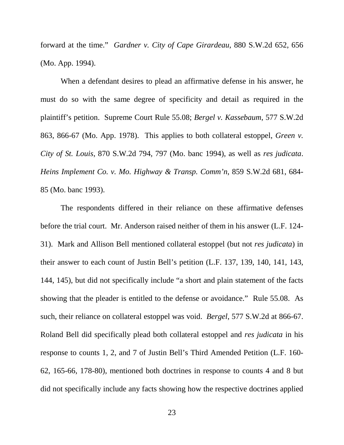forward at the time." *Gardner v. City of Cape Girardeau*, 880 S.W.2d 652, 656 (Mo. App. 1994).

When a defendant desires to plead an affirmative defense in his answer, he must do so with the same degree of specificity and detail as required in the plaintiff's petition. Supreme Court Rule 55.08; *Bergel v. Kassebaum*, 577 S.W.2d 863, 866-67 (Mo. App. 1978). This applies to both collateral estoppel, *Green v. City of St. Louis*, 870 S.W.2d 794, 797 (Mo. banc 1994), as well as *res judicata*. *Heins Implement Co. v. Mo. Highway & Transp. Comm'n*, 859 S.W.2d 681, 684- 85 (Mo. banc 1993).

The respondents differed in their reliance on these affirmative defenses before the trial court. Mr. Anderson raised neither of them in his answer (L.F. 124- 31). Mark and Allison Bell mentioned collateral estoppel (but not *res judicata*) in their answer to each count of Justin Bell's petition (L.F. 137, 139, 140, 141, 143, 144, 145), but did not specifically include "a short and plain statement of the facts showing that the pleader is entitled to the defense or avoidance." Rule 55.08. As such, their reliance on collateral estoppel was void. *Bergel*, 577 S.W.2d at 866-67. Roland Bell did specifically plead both collateral estoppel and *res judicata* in his response to counts 1, 2, and 7 of Justin Bell's Third Amended Petition (L.F. 160- 62, 165-66, 178-80), mentioned both doctrines in response to counts 4 and 8 but did not specifically include any facts showing how the respective doctrines applied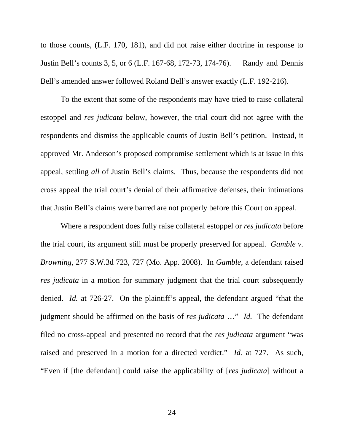to those counts, (L.F. 170, 181), and did not raise either doctrine in response to Justin Bell's counts 3, 5, or 6 (L.F. 167-68, 172-73, 174-76). Randy and Dennis Bell's amended answer followed Roland Bell's answer exactly (L.F. 192-216).

To the extent that some of the respondents may have tried to raise collateral estoppel and *res judicata* below, however, the trial court did not agree with the respondents and dismiss the applicable counts of Justin Bell's petition. Instead, it approved Mr. Anderson's proposed compromise settlement which is at issue in this appeal, settling *all* of Justin Bell's claims. Thus, because the respondents did not cross appeal the trial court's denial of their affirmative defenses, their intimations that Justin Bell's claims were barred are not properly before this Court on appeal.

Where a respondent does fully raise collateral estoppel or *res judicata* before the trial court, its argument still must be properly preserved for appeal. *Gamble v. Browning*, 277 S.W.3d 723, 727 (Mo. App. 2008). In *Gamble*, a defendant raised *res judicata* in a motion for summary judgment that the trial court subsequently denied. *Id.* at 726-27. On the plaintiff's appeal, the defendant argued "that the judgment should be affirmed on the basis of *res judicata* …" *Id.* The defendant filed no cross-appeal and presented no record that the *res judicata* argument "was raised and preserved in a motion for a directed verdict." *Id.* at 727. As such, "Even if [the defendant] could raise the applicability of [*res judicata*] without a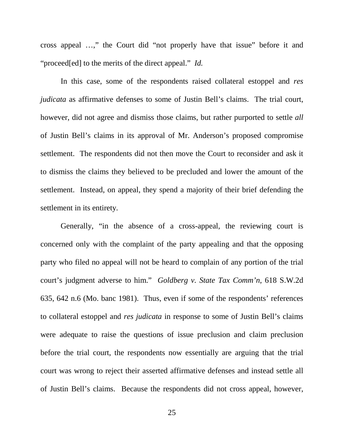cross appeal …," the Court did "not properly have that issue" before it and "proceed[ed] to the merits of the direct appeal." *Id.*

In this case, some of the respondents raised collateral estoppel and *res judicata* as affirmative defenses to some of Justin Bell's claims. The trial court, however, did not agree and dismiss those claims, but rather purported to settle *all* of Justin Bell's claims in its approval of Mr. Anderson's proposed compromise settlement. The respondents did not then move the Court to reconsider and ask it to dismiss the claims they believed to be precluded and lower the amount of the settlement. Instead, on appeal, they spend a majority of their brief defending the settlement in its entirety.

Generally, "in the absence of a cross-appeal, the reviewing court is concerned only with the complaint of the party appealing and that the opposing party who filed no appeal will not be heard to complain of any portion of the trial court's judgment adverse to him." *Goldberg v. State Tax Comm'n*, 618 S.W.2d 635, 642 n.6 (Mo. banc 1981). Thus, even if some of the respondents' references to collateral estoppel and *res judicata* in response to some of Justin Bell's claims were adequate to raise the questions of issue preclusion and claim preclusion before the trial court, the respondents now essentially are arguing that the trial court was wrong to reject their asserted affirmative defenses and instead settle all of Justin Bell's claims. Because the respondents did not cross appeal, however,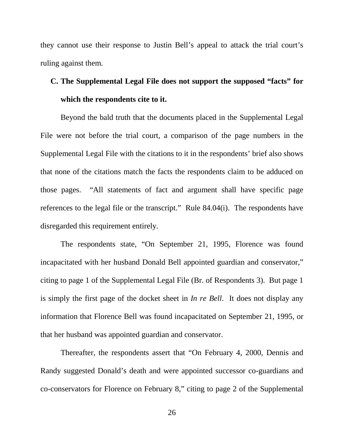they cannot use their response to Justin Bell's appeal to attack the trial court's ruling against them.

## **C. The Supplemental Legal File does not support the supposed "facts" for which the respondents cite to it.**

Beyond the bald truth that the documents placed in the Supplemental Legal File were not before the trial court, a comparison of the page numbers in the Supplemental Legal File with the citations to it in the respondents' brief also shows that none of the citations match the facts the respondents claim to be adduced on those pages. "All statements of fact and argument shall have specific page references to the legal file or the transcript." Rule 84.04(i). The respondents have disregarded this requirement entirely.

The respondents state, "On September 21, 1995, Florence was found incapacitated with her husband Donald Bell appointed guardian and conservator," citing to page 1 of the Supplemental Legal File (Br. of Respondents 3). But page 1 is simply the first page of the docket sheet in *In re Bell*. It does not display any information that Florence Bell was found incapacitated on September 21, 1995, or that her husband was appointed guardian and conservator.

Thereafter, the respondents assert that "On February 4, 2000, Dennis and Randy suggested Donald's death and were appointed successor co-guardians and co-conservators for Florence on February 8," citing to page 2 of the Supplemental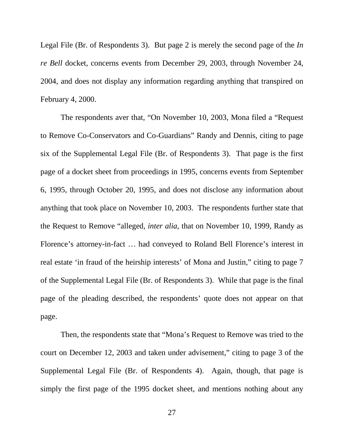Legal File (Br. of Respondents 3). But page 2 is merely the second page of the *In re Bell* docket, concerns events from December 29, 2003, through November 24, 2004, and does not display any information regarding anything that transpired on February 4, 2000.

The respondents aver that, "On November 10, 2003, Mona filed a "Request to Remove Co-Conservators and Co-Guardians" Randy and Dennis, citing to page six of the Supplemental Legal File (Br. of Respondents 3). That page is the first page of a docket sheet from proceedings in 1995, concerns events from September 6, 1995, through October 20, 1995, and does not disclose any information about anything that took place on November 10, 2003. The respondents further state that the Request to Remove "alleged, *inter alia*, that on November 10, 1999, Randy as Florence's attorney-in-fact … had conveyed to Roland Bell Florence's interest in real estate 'in fraud of the heirship interests' of Mona and Justin," citing to page 7 of the Supplemental Legal File (Br. of Respondents 3). While that page is the final page of the pleading described, the respondents' quote does not appear on that page.

Then, the respondents state that "Mona's Request to Remove was tried to the court on December 12, 2003 and taken under advisement," citing to page 3 of the Supplemental Legal File (Br. of Respondents 4). Again, though, that page is simply the first page of the 1995 docket sheet, and mentions nothing about any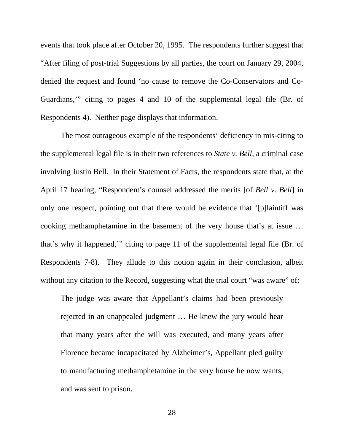events that took place after October 20, 1995. The respondents further suggest that "After filing of post-trial Suggestions by all parties, the court on January 29, 2004, denied the request and found 'no cause to remove the Co-Conservators and Co-Guardians,'" citing to pages 4 and 10 of the supplemental legal file (Br. of Respondents 4). Neither page displays that information.

The most outrageous example of the respondents' deficiency in mis-citing to the supplemental legal file is in their two references to *State v. Bell*, a criminal case involving Justin Bell. In their Statement of Facts, the respondents state that, at the April 17 hearing, "Respondent's counsel addressed the merits [of *Bell v. Bell*] in only one respect, pointing out that there would be evidence that '[p]laintiff was cooking methamphetamine in the basement of the very house that's at issue … that's why it happened,'" citing to page 11 of the supplemental legal file (Br. of Respondents 7-8). They allude to this notion again in their conclusion, albeit without any citation to the Record, suggesting what the trial court "was aware" of:

The judge was aware that Appellant's claims had been previously rejected in an unappealed judgment … He knew the jury would hear that many years after the will was executed, and many years after Florence became incapacitated by Alzheimer's, Appellant pled guilty to manufacturing methamphetamine in the very house he now wants, and was sent to prison.

28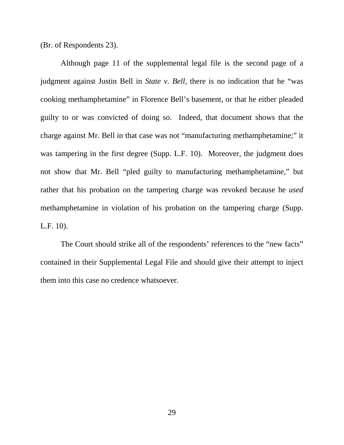(Br. of Respondents 23).

Although page 11 of the supplemental legal file is the second page of a judgment against Justin Bell in *State v. Bell*, there is no indication that he "was cooking methamphetamine" in Florence Bell's basement, or that he either pleaded guilty to or was convicted of doing so. Indeed, that document shows that the charge against Mr. Bell in that case was not "manufacturing methamphetamine;" it was tampering in the first degree (Supp. L.F. 10). Moreover, the judgment does not show that Mr. Bell "pled guilty to manufacturing methamphetamine," but rather that his probation on the tampering charge was revoked because he *used* methamphetamine in violation of his probation on the tampering charge (Supp. L.F. 10).

The Court should strike all of the respondents' references to the "new facts" contained in their Supplemental Legal File and should give their attempt to inject them into this case no credence whatsoever.